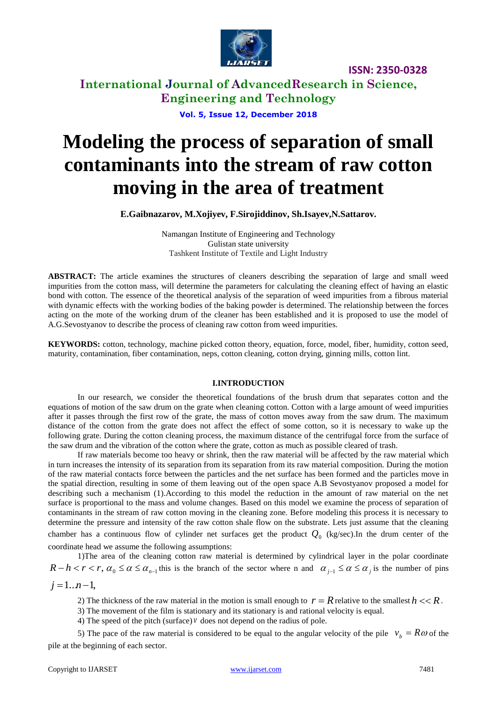

**International Journal of AdvancedResearch in Science, Engineering and Technology**

**Vol. 5, Issue 12, December 2018**

# **Modeling the process of separation of small contaminants into the stream of raw cotton moving in the area of treatment**

**E.Gaibnazarov, M.Xojiyev, F.Sirojiddinov, Sh.Isayev,N.Sattarov.**

Namangan Institute of Engineering and Technology Gulistan state university Tashkent Institute of Textile and Light Industry

**ABSTRACT:** The article examines the structures of cleaners describing the separation of large and small weed impurities from the cotton mass, will determine the parameters for calculating the cleaning effect of having an elastic bond with cotton. The essence of the theoretical analysis of the separation of weed impurities from a fibrous material with dynamic effects with the working bodies of the baking powder is determined. The relationship between the forces acting on the mote of the working drum of the cleaner has been established and it is proposed to use the model of A.G.Sevostyanov to describe the process of cleaning raw cotton from weed impurities.

**KEYWORDS:** cotton, technology, machine picked cotton theory, equation, force, model, fiber, humidity, cotton seed, maturity, contamination, fiber contamination, neps, cotton cleaning, cotton drying, ginning mills, cotton lint.

#### **I.INTRODUCTION**

In our research, we consider the theoretical foundations of the brush drum that separates cotton and the equations of motion of the saw drum on the grate when cleaning cotton. Cotton with a large amount of weed impurities after it passes through the first row of the grate, the mass of cotton moves away from the saw drum. The maximum distance of the cotton from the grate does not affect the effect of some cotton, so it is necessary to wake up the following grate. During the cotton cleaning process, the maximum distance of the centrifugal force from the surface of the saw drum and the vibration of the cotton where the grate, cotton as much as possible cleared of trash.

If raw materials become too heavy or shrink, then the raw material will be affected by the raw material which in turn increases the intensity of its separation from its separation from its raw material composition. During the motion of the raw material contacts force between the particles and the net surface has been formed and the particles move in the spatial direction, resulting in some of them leaving out of the open space A.B Sevostyanov proposed a model for describing such a mechanism (1).According to this model the reduction in the amount of raw material on the net surface is proportional to the mass and volume changes. Based on this model we examine the process of separation of contaminants in the stream of raw cotton moving in the cleaning zone. Before modeling this process it is necessary to determine the pressure and intensity of the raw cotton shale flow on the substrate. Lets just assume that the cleaning chamber has a continuous flow of cylinder net surfaces get the product  $Q_0$  (kg/sec).In the drum center of the coordinate head we assume the following assumptions:

1)The area of the cleaning cotton raw material is determined by cylindrical layer in the polar coordinate  $R-h < r < r$ ,  $\alpha_0 \le \alpha \le \alpha_{n-1}$  this is the branch of the sector where n and  $\alpha_{j-1} \le \alpha \le \alpha_j$  is the number of pins

 $j = 1...n-1$ ,

2) The thickness of the raw material in the motion is small enough to  $r = R$  relative to the smallest  $h \ll R$ .

3) The movement of the film is stationary and its stationary is and rational velocity is equal.

4) The speed of the pitch (surface) *v* does not depend on the radius of pole.

5) The pace of the raw material is considered to be equal to the angular velocity of the pile  $v_b = R\omega$  of the pile at the beginning of each sector.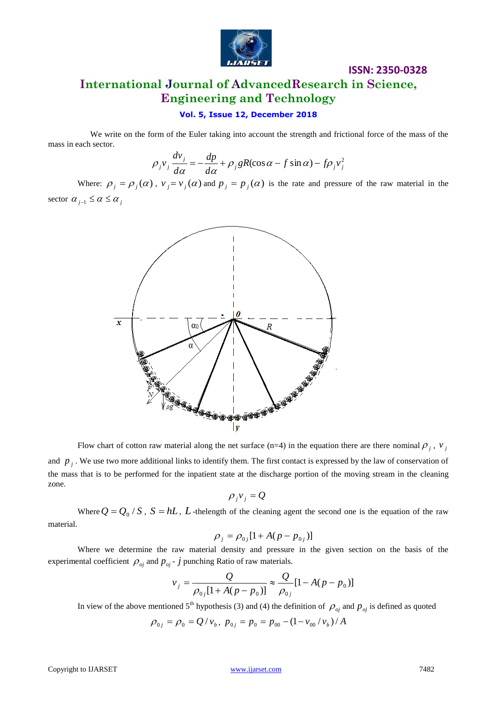

## **ISSN: 2350-0328 International Journal of AdvancedResearch in Science, Engineering and Technology**

### **Vol. 5, Issue 12, December 2018**

 We write on the form of the Euler taking into account the strength and frictional force of the mass of the mass in each sector.

$$
\rho_j v_j \frac{dv_j}{d\alpha} = -\frac{dp}{d\alpha} + \rho_j gR(\cos\alpha - f\sin\alpha) - f\rho_j v_j^2
$$

Where:  $\rho_j = \rho_j(\alpha)$ ,  $v_j = v_j(\alpha)$  and  $p_j = p_j(\alpha)$  is the rate and pressure of the raw material in the sector  $\alpha_{j-1} \leq \alpha \leq \alpha_j$ 



Flow chart of cotton raw material along the net surface (n=4) in the equation there are there nominal  $\rho_j$ ,  $v_j$ and  $p_j$ . We use two more additional links to identify them. The first contact is expressed by the law of conservation of the mass that is to be performed for the inpatient state at the discharge portion of the moving stream in the cleaning zone.

$$
\rho_j v_j = Q
$$

Where  $Q = Q_0 / S$ ,  $S = hL$ ,  $L$ -thelength of the cleaning agent the second one is the equation of the raw material.

$$
\rho_j = \rho_{0j} [1 + A(p - p_{0j})]
$$

Where we determine the raw material density and pressure in the given section on the basis of the experimental coefficient  $\rho_{oj}$  and  $p_{oj}$  -  $\dot{j}$  punching Ratio of raw materials.

$$
v_j = \frac{Q}{\rho_{0j}[1 + A(p - p_0)]} \approx \frac{Q}{\rho_{0j}}[1 - A(p - p_0)]
$$

In view of the above mentioned 5<sup>th</sup> hypothesis (3) and (4) the definition of  $\rho_{oj}$  and  $p_{oj}$  is defined as quoted

$$
\rho_{0j} = \rho_0 = Q / v_b, \ p_{0j} = p_0 = p_{00} - (1 - v_{00} / v_b) / A
$$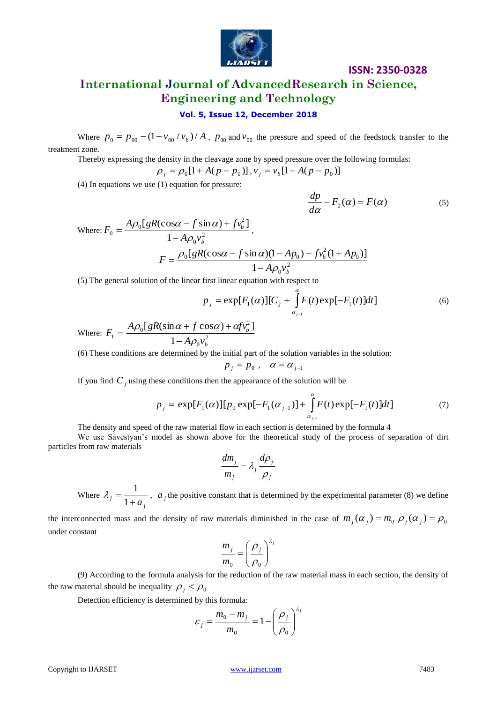

## **International Journal of AdvancedResearch in Science, Engineering and Technology**

## **Vol. 5, Issue 12, December 2018**

Where  $p_0 = p_{00} - (1 - v_{00} / v_b) / A$ ,  $p_{00}$  and  $v_{00}$  the pressure and speed of the feedstock transfer to the treatment zone.

Thereby expressing the density in the cleavage zone by speed pressure over the following formulas:

$$
\rho_j = \rho_0[1 + A(p - p_0)], v_j = v_b[1 - A(p - p_0)]
$$

(4) In equations we use (1) equation for pressure:

$$
\frac{dp}{d\alpha} - F_0(\alpha) = F(\alpha) \tag{5}
$$

$$
d\alpha \t d\alpha
$$
  
Where:  $F_0 = \frac{A\rho_0[gR(\cos\alpha - f\sin\alpha) + f\nu_b^2]}{1 - A\rho_0\nu_b^2}$ ,  

$$
F = \frac{\rho_0[gR(\cos\alpha - f\sin\alpha)(1 - Ap_0) - f\nu_b^2(1 + Ap_0)]}{1 - A\rho_0\nu_b^2}
$$

(5) The general solution of the linear first linear equation with respect to

$$
p_{j} = \exp[F_{1}(\alpha)][C_{j} + \int_{\alpha_{j-1}}^{\alpha} F(t) \exp[-F_{1}(t)]dt]
$$
\n(6)

Where:  $F_1 = \frac{np_0}{s} \frac{1}{4} a v^2$  $\overline{0}$ 2  $\boldsymbol{0}$ 1  $[gR(\sin \alpha + f \cos \alpha) + \alpha f v_h^2]$ *b b*  $A\rho_0 v$  $A\rho_0[gR(\sin\alpha + f\cos\alpha) + afv$  $\rho$  $\rho_0(gR(\sin\alpha + f\cos\alpha) + \alpha)$  $\overline{a}$  $+f\cos\alpha$ )+

(6) These conditions are determined by the initial part of the solution variables in the solution:

$$
p_j = p_0 , \quad \alpha = \alpha_{j-1}
$$

If you find  $C_j$  using these conditions then the appearance of the solution will be

$$
p_j = \exp[F_1(\alpha)][p_0 \exp[-F_1(\alpha_{j-1})] + \int_{\alpha_{j-1}}^{\alpha} F(t) \exp[-F_1(t)]dt]
$$
(7)

The density and speed of the raw material flow in each section is determined by the formula 4

We use Savestyan's model as shown above for the theoretical study of the process of separation of dirt particles from raw materials

$$
\frac{dm_j}{m_j} = \lambda_j \frac{d\rho_j}{\rho_j}
$$

Where *j*  $j = 1 + a$  $=$ 1  $\lambda_j = \frac{1}{1 + \lambda_j}$ ,  $a_j$  the positive constant that is determined by the experimental parameter (8) we define

the interconnected mass and the density of raw materials diminished in the case of  $m_j(\alpha_j) = m_0 \rho_j(\alpha_j) = \rho_0$ under constant

$$
\frac{m_j}{m_0} = \left(\frac{\rho_j}{\rho_0}\right)^{\lambda_j}
$$

(9) According to the formula analysis for the reduction of the raw material mass in each section, the density of the raw material should be inequality  $\rho_j < \rho_0$ 

Detection efficiency is determined by this formula:

$$
\varepsilon_j = \frac{m_0 - m_j}{m_0} = 1 - \left(\frac{\rho_j}{\rho_0}\right)^{\lambda_j}
$$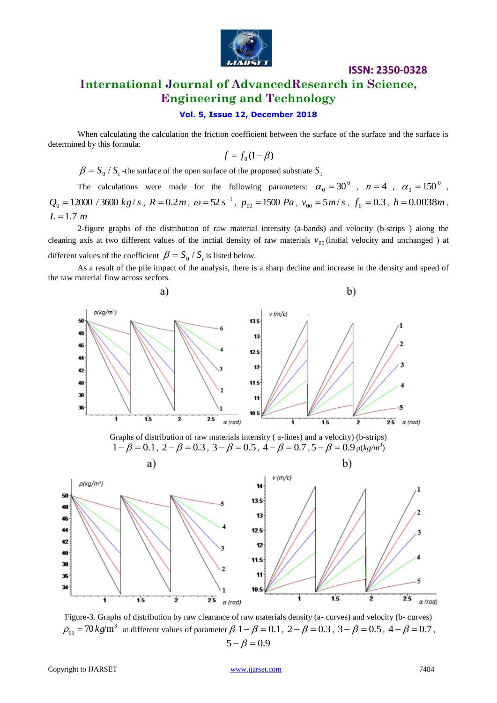

## **ISSN: 2350-0328 International Journal of AdvancedResearch in Science, Engineering and Technology**

## **Vol. 5, Issue 12, December 2018**

When calculating the calculation the friction coefficient between the surface of the surface and the surface is determined by this formula:

$$
f = f_0(1 - \beta)
$$

 $\beta = S_0 / S_t$  -the surface of the open surface of the proposed substrate  $S_t$ 

The calculations were made for the following parameters:  $\alpha_0 = 30^\circ$ ,  $n = 4$ ,  $\alpha_3 = 150^\circ$ ,  $Q_0 = 12000 / 3600 \ kg/s$ ,  $R = 0.2m$ ,  $\omega = 52 s^{-1}$ ,  $p_{00} = 1500 Pa$ ,  $v_{00} = 5m/s$ ,  $f_0 = 0.3$ ,  $h = 0.0038m$ ,  $L = 1.7 m$ 

2-figure graphs of the distribution of raw material intensity (a-bands) and velocity (b-strips ) along the cleaning axis at two different values of the inctial density of raw materials  $v_{00}$  (initial velocity and unchanged ) at different values of the coefficient  $\beta = S_0 / S_t$  is listed below.

As a result of the pile impact of the analysis, there is a sharp decline and increase in the density and speed of the raw material flow across secfors.



Graphs of distribution of raw materials intensity ( a-lines) and a velocity) (b-strips)  $1 - \beta = 0.1$ ,  $2 - \beta = 0.3$ ,  $3 - \beta = 0.5$ ,  $4 - \beta = 0.7$ ,  $5 - \beta = 0.9$   $\rho(kg/m^3)$ 



Figure-3. Graphs of distribution by raw clearance of raw materials density (a- curves) and velocity (b- curves)  $\rho_{00}$  = 70 *kg*/m<sup>3</sup> at different values of parameter  $\beta$  1 –  $\beta$  = 0.1, 2 –  $\beta$  = 0.3, 3 –  $\beta$  = 0.5, 4 –  $\beta$  = 0.7,  $5 - \beta = 0.9$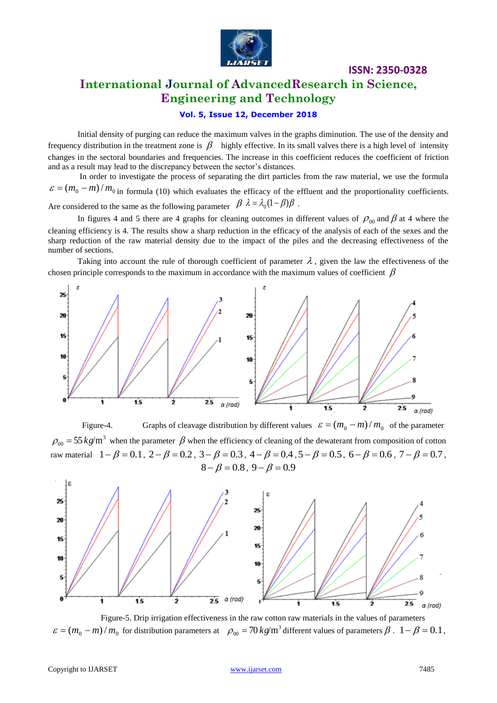

## **International Journal of AdvancedResearch in Science, Engineering and Technology**

## **Vol. 5, Issue 12, December 2018**

Initial density of purging can reduce the maximum valves in the graphs diminution. The use of the density and frequency distribution in the treatment zone is  $\beta$  highly effective. In its small valves there is a high level of intensity changes in the sectoral boundaries and frequencies. The increase in this coefficient reduces the coefficient of friction and as a result may lead to the discrepancy between the sector's distances.

In order to investigate the process of separating the dirt particles from the raw material, we use the formula  $\epsilon = (m_0 - m)/m_0$  in formula (10) which evaluates the efficacy of the effluent and the proportionality coefficients. Are considered to the same as the following parameter  $\beta \lambda = \lambda_0 (1 - \beta) \beta$ .

In figures 4 and 5 there are 4 graphs for cleaning outcomes in different values of  $\rho_{00}$  and  $\beta$  at 4 where the cleaning efficiency is 4. The results show a sharp reduction in the efficacy of the analysis of each of the sexes and the sharp reduction of the raw material density due to the impact of the piles and the decreasing effectiveness of the number of sections.

Taking into account the rule of thorough coefficient of parameter  $\lambda$ , given the law the effectiveness of the chosen principle corresponds to the maximum in accordance with the maximum values of coefficient  $\,\beta\,$ 



Figure-4. Graphs of cleavage distribution by different values  $\varepsilon = (m_0 - m)/m_0$  of the parameter  $\rho_{00} = 55 \, kg/m^3$  when the parameter  $\beta$  when the efficiency of cleaning of the dewaterant from composition of cotton raw material  $1-\beta = 0.1$ ,  $2-\beta = 0.2$ ,  $3-\beta = 0.3$ ,  $4-\beta = 0.4$ ,  $5-\beta = 0.5$ ,  $6-\beta = 0.6$ ,  $7-\beta = 0.7$ ,  $8 - \beta = 0.8$ ,  $9 - \beta = 0.9$ 



Figure-5. Drip irrigation effectiveness in the raw cotton raw materials in the values of parameters  $\varepsilon = (m_0 - m)/m_0$  for distribution parameters at  $\rho_{00} = 70 \, kg/m^3$  different values of parameters  $\beta$ .  $1 - \beta = 0.1$ ,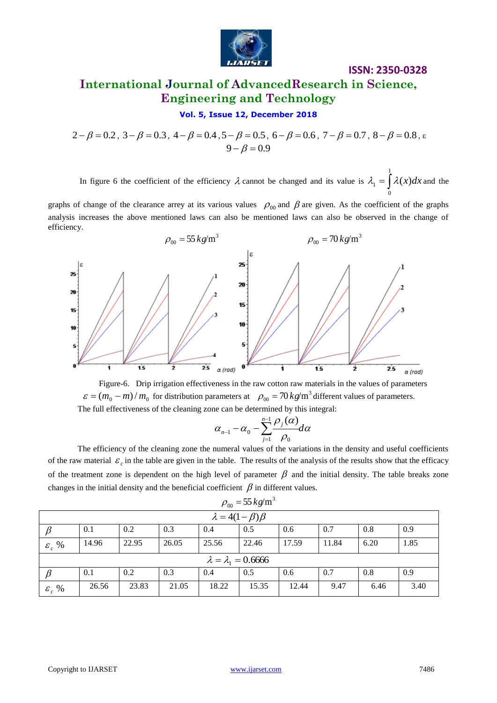

## **International Journal of AdvancedResearch in Science, Engineering and Technology**

#### **Vol. 5, Issue 12, December 2018**

 $2-\beta = 0.2$ ,  $3-\beta = 0.3$ ,  $4-\beta = 0.4$ ,  $5-\beta = 0.5$ ,  $6-\beta = 0.6$ ,  $7-\beta = 0.7$ ,  $8-\beta = 0.8$ ,  $\epsilon$  $9 - \beta = 0.9$ 

In figure 6 the coefficient of the efficiency  $\lambda$  cannot be changed and its value is  $\lambda_1 = \int$ 1  $\mathbf 0$  $\lambda_1 = \int \lambda(x) dx$  and the

graphs of change of the clearance arrey at its various values  $\rho_{00}$  and  $\beta$  are given. As the coefficient of the graphs analysis increases the above mentioned laws can also be mentioned laws can also be observed in the change of efficiency.





$$
\alpha_{n-1}-\alpha_0-\sum_{j=1}^{n-1}\frac{\rho_j(\alpha)}{\rho_0}d\alpha
$$

The efficiency of the cleaning zone the numeral values of the variations in the density and useful coefficients of the raw material  $\varepsilon_c$  in the table are given in the table. The results of the analysis of the results show that the efficacy of the treatment zone is dependent on the high level of parameter  $\beta$  and the initial density. The table breaks zone changes in the initial density and the beneficial coefficient  $\beta$  in different values.

| $\rho_{00} = 55 \, \text{kg/m}^3$ |       |       |       |       |       |       |       |      |      |  |  |
|-----------------------------------|-------|-------|-------|-------|-------|-------|-------|------|------|--|--|
| $\lambda = 4(1 - \beta)\beta$     |       |       |       |       |       |       |       |      |      |  |  |
|                                   | 0.1   | 0.2   | 0.3   | 0.4   | 0.5   | 0.6   | 0.7   | 0.8  | 0.9  |  |  |
| $\varepsilon_c$ %                 | 14.96 | 22.95 | 26.05 | 25.56 | 22.46 | 17.59 | 11.84 | 6.20 | 1.85 |  |  |
| $\lambda = \lambda_1 = 0.6666$    |       |       |       |       |       |       |       |      |      |  |  |
|                                   | 0.1   | 0.2   | 0.3   | 0.4   | 0.5   | 0.6   | 0.7   | 0.8  | 0.9  |  |  |
| $\varepsilon_{c}$ %               | 26.56 | 23.83 | 21.05 | 18.22 | 15.35 | 12.44 | 9.47  | 6.46 | 3.40 |  |  |